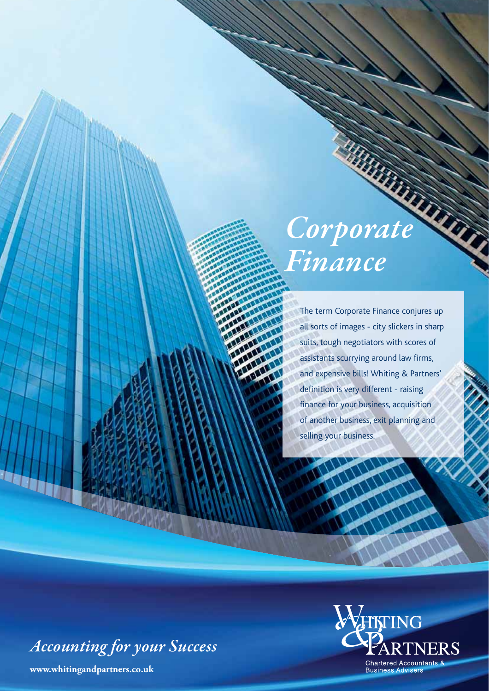# *Corporation Finance*

The term Corporate Finance conjures up all sorts of images - city slickers in sharp suits, tough negotiators with scores of assistants scurrying around law firms, and expensive bills! Whiting & Partners' definition is very different - raising finance for your business, acquisition of another business, exit planning and selling your business.

*Accounting for your Success*

**www.whitingandpartners.co.uk**